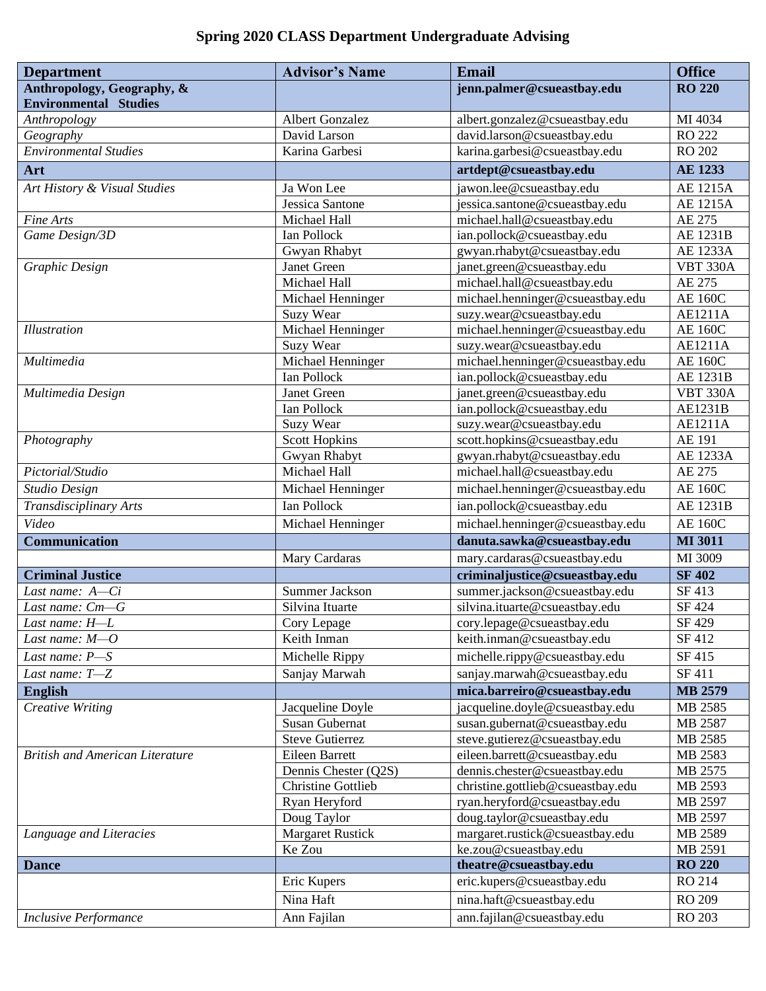## **Spring 2020 CLASS Department Undergraduate Advising**

| <b>Department</b>                      | <b>Advisor's Name</b>        | <b>Email</b>                                               | <b>Office</b>             |
|----------------------------------------|------------------------------|------------------------------------------------------------|---------------------------|
| Anthropology, Geography, &             |                              | jenn.palmer@csueastbay.edu                                 | <b>RO 220</b>             |
| <b>Environmental Studies</b>           |                              |                                                            |                           |
| Anthropology                           | Albert Gonzalez              | albert.gonzalez@csueastbay.edu                             | MI 4034                   |
| Geography                              | David Larson                 | david.larson@csueastbay.edu                                | RO 222                    |
| <b>Environmental Studies</b>           | Karina Garbesi               | karina.garbesi@csueastbay.edu                              | RO 202                    |
| Art                                    |                              | artdept@csueastbay.edu                                     | <b>AE 1233</b>            |
| Art History & Visual Studies           | Ja Won Lee                   | jawon.lee@csueastbay.edu                                   | <b>AE 1215A</b>           |
|                                        | Jessica Santone              | jessica.santone@csueastbay.edu                             | <b>AE 1215A</b>           |
| Fine Arts                              | Michael Hall                 | michael.hall@csueastbay.edu                                | AE 275                    |
| Game Design/3D                         | Ian Pollock                  | ian.pollock@csueastbay.edu                                 | AE 1231B                  |
|                                        | Gwyan Rhabyt                 | gwyan.rhabyt@csueastbay.edu                                | AE 1233A                  |
| Graphic Design                         | Janet Green                  | janet.green@csueastbay.edu                                 | <b>VBT 330A</b>           |
|                                        | Michael Hall                 | michael.hall@csueastbay.edu                                | AE 275                    |
|                                        | Michael Henninger            | michael.henninger@csueastbay.edu                           | <b>AE 160C</b>            |
|                                        | Suzy Wear                    | suzy.wear@csueastbay.edu                                   | AE1211A                   |
| Illustration                           | Michael Henninger            | michael.henninger@csueastbay.edu                           | <b>AE 160C</b>            |
|                                        | Suzy Wear                    | suzy.wear@csueastbay.edu                                   | AE1211A                   |
| Multimedia                             | Michael Henninger            | michael.henninger@csueastbay.edu                           | <b>AE 160C</b>            |
|                                        | Ian Pollock                  | ian.pollock@csueastbay.edu                                 | AE 1231B                  |
| Multimedia Design                      | Janet Green                  | janet.green@csueastbay.edu                                 | <b>VBT 330A</b>           |
|                                        | Ian Pollock                  | ian.pollock@csueastbay.edu                                 | AE1231B                   |
|                                        | <b>Suzy Wear</b>             | suzy.wear@csueastbay.edu                                   | AE1211A                   |
| Photography                            | <b>Scott Hopkins</b>         | scott.hopkins@csueastbay.edu                               | AE 191<br><b>AE 1233A</b> |
| Pictorial/Studio                       | Gwyan Rhabyt<br>Michael Hall | gwyan.rhabyt@csueastbay.edu<br>michael.hall@csueastbay.edu | AE 275                    |
|                                        |                              |                                                            |                           |
| Studio Design                          | Michael Henninger            | michael.henninger@csueastbay.edu                           | <b>AE 160C</b>            |
| Transdisciplinary Arts                 | Ian Pollock                  | ian.pollock@csueastbay.edu                                 | AE 1231B                  |
| Video                                  | Michael Henninger            | michael.henninger@csueastbay.edu                           | <b>AE 160C</b>            |
| <b>Communication</b>                   |                              | danuta.sawka@csueastbay.edu                                | <b>MI 3011</b>            |
|                                        | Mary Cardaras                | mary.cardaras@csueastbay.edu                               | MI 3009                   |
| <b>Criminal Justice</b>                |                              | criminaljustice@csueastbay.edu                             | <b>SF 402</b>             |
| Last name: $A-Ci$                      | Summer Jackson               | summer.jackson@csueastbay.edu                              | SF 413                    |
| Last name: Cm-G                        | Silvina Ituarte              | silvina.ituarte@csueastbay.edu                             | SF 424                    |
| Last name: H-L                         | Cory Lepage                  | cory.lepage@csueastbay.edu                                 | SF 429                    |
| Last name: $M$ – $O$                   | Keith Inman                  | keith.inman@csueastbay.edu                                 | SF 412                    |
| Last name: P-S                         | Michelle Rippy               | michelle.rippy@csueastbay.edu                              | SF 415                    |
| Last name: T-Z                         | Sanjay Marwah                | sanjay.marwah@csueastbay.edu                               | SF 411                    |
| <b>English</b>                         |                              | mica.barreiro@csueastbay.edu                               | <b>MB 2579</b>            |
| Creative Writing                       | Jacqueline Doyle             | jacqueline.doyle@csueastbay.edu                            | MB 2585                   |
|                                        | <b>Susan Gubernat</b>        | susan.gubernat@csueastbay.edu                              | MB 2587                   |
|                                        | <b>Steve Gutierrez</b>       | steve.gutierez@csueastbay.edu                              | MB 2585                   |
| <b>British and American Literature</b> | Eileen Barrett               | eileen.barrett@csueastbay.edu                              | MB 2583                   |
|                                        | Dennis Chester (Q2S)         | dennis.chester@csueastbay.edu                              | MB 2575                   |
|                                        | <b>Christine Gottlieb</b>    | christine.gottlieb@csueastbay.edu                          | MB 2593                   |
|                                        | Ryan Heryford                | ryan.heryford@csueastbay.edu                               | MB 2597                   |
|                                        | Doug Taylor                  | doug.taylor@csueastbay.edu                                 | MB 2597                   |
| Language and Literacies                | <b>Margaret Rustick</b>      | margaret.rustick@csueastbay.edu                            | MB 2589                   |
|                                        | Ke Zou                       | ke.zou@csueastbay.edu                                      | MB 2591                   |
| <b>Dance</b>                           |                              | theatre@csueastbay.edu                                     | <b>RO 220</b>             |
|                                        | Eric Kupers                  | eric.kupers@csueastbay.edu                                 | RO 214                    |
|                                        | Nina Haft                    | nina.haft@csueastbay.edu                                   | RO 209                    |
| <b>Inclusive Performance</b>           | Ann Fajilan                  | ann.fajilan@csueastbay.edu                                 | RO 203                    |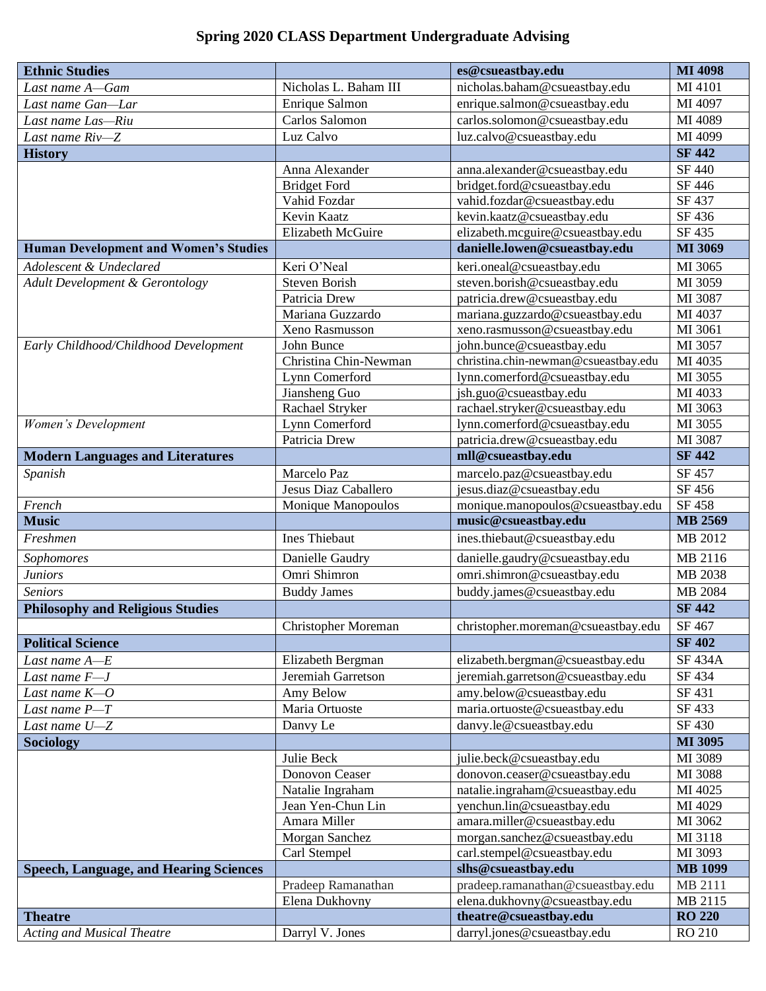## **Spring 2020 CLASS Department Undergraduate Advising**

| <b>Ethnic Studies</b>                         |                       | es@csueastbay.edu                                  | <b>MI 4098</b>           |
|-----------------------------------------------|-----------------------|----------------------------------------------------|--------------------------|
| Last name A-Gam                               | Nicholas L. Baham III | nicholas.baham@csueastbay.edu                      | MI 4101                  |
| Last name Gan-Lar                             | Enrique Salmon        | enrique.salmon@csueastbay.edu                      | MI 4097                  |
| Last name Las-Riu                             | Carlos Salomon        | carlos.solomon@csueastbay.edu                      | MI 4089                  |
| Last name Riv-Z                               | Luz Calvo             | luz.calvo@csueastbay.edu                           | MI 4099                  |
| <b>History</b>                                |                       |                                                    | <b>SF 442</b>            |
|                                               | Anna Alexander        | anna.alexander@csueastbay.edu                      | SF 440                   |
|                                               | <b>Bridget Ford</b>   | bridget.ford@csueastbay.edu                        | SF 446                   |
|                                               | Vahid Fozdar          | vahid.fozdar@csueastbay.edu                        | SF 437                   |
|                                               | Kevin Kaatz           | kevin.kaatz@csueastbay.edu                         | SF 436                   |
|                                               | Elizabeth McGuire     | elizabeth.mcguire@csueastbay.edu                   | SF 435                   |
| <b>Human Development and Women's Studies</b>  |                       | danielle.lowen@csueastbay.edu                      | MI 3069                  |
| Adolescent & Undeclared                       | Keri O'Neal           | keri.oneal@csueastbay.edu                          | MI 3065                  |
| Adult Development & Gerontology               | <b>Steven Borish</b>  | steven.borish@csueastbay.edu                       | MI 3059                  |
|                                               | Patricia Drew         | patricia.drew@csueastbay.edu                       | MI 3087                  |
|                                               | Mariana Guzzardo      | mariana.guzzardo@csueastbay.edu                    | MI 4037                  |
|                                               | Xeno Rasmusson        | xeno.rasmusson@csueastbay.edu                      | MI 3061                  |
| Early Childhood/Childhood Development         | John Bunce            | john.bunce@csueastbay.edu                          | MI 3057                  |
|                                               | Christina Chin-Newman | christina.chin-newman@csueastbay.edu               | MI 4035                  |
|                                               | Lynn Comerford        | lynn.comerford@csueastbay.edu                      | MI 3055                  |
|                                               | Jiansheng Guo         | jsh.guo@csueastbay.edu                             | MI 4033                  |
|                                               | Rachael Stryker       | rachael.stryker@csueastbay.edu                     | MI 3063                  |
| Women's Development                           | Lynn Comerford        | lynn.comerford@csueastbay.edu                      | MI 3055                  |
|                                               | Patricia Drew         | patricia.drew@csueastbay.edu<br>mll@csueastbay.edu | MI 3087<br><b>SF 442</b> |
| <b>Modern Languages and Literatures</b>       |                       |                                                    |                          |
| Spanish                                       | Marcelo Paz           | marcelo.paz@csueastbay.edu                         | SF 457                   |
|                                               | Jesus Diaz Caballero  | jesus.diaz@csueastbay.edu                          | SF 456                   |
| French<br><b>Music</b>                        | Monique Manopoulos    | monique.manopoulos@csueastbay.edu                  | SF 458<br><b>MB 2569</b> |
|                                               | <b>Ines Thiebaut</b>  | music@csueastbay.edu                               |                          |
| Freshmen                                      |                       | ines.thiebaut@csueastbay.edu                       | MB 2012                  |
| Sophomores                                    | Danielle Gaudry       | danielle.gaudry@csueastbay.edu                     | MB 2116                  |
| <b>Juniors</b>                                | Omri Shimron          | omri.shimron@csueastbay.edu                        | MB 2038                  |
| <b>Seniors</b>                                | <b>Buddy James</b>    | buddy.james@csueastbay.edu                         | MB 2084                  |
| <b>Philosophy and Religious Studies</b>       |                       |                                                    | <b>SF 442</b>            |
|                                               | Christopher Moreman   | christopher.moreman@csueastbay.edu                 | SF 467                   |
| <b>Political Science</b>                      |                       |                                                    | <b>SF 402</b>            |
| Last name A-E                                 | Elizabeth Bergman     | elizabeth.bergman@csueastbay.edu                   | <b>SF 434A</b>           |
| Last name F-J                                 | Jeremiah Garretson    | jeremiah.garretson@csueastbay.edu                  | SF 434                   |
| Last name $K$ -O                              | Amy Below             | amy.below@csueastbay.edu                           | SF 431                   |
| Last name P-T                                 | Maria Ortuoste        | maria.ortuoste@csueastbay.edu                      | SF 433                   |
| Last name $U\!\!-\!\!Z$                       | Danvy Le              | danvy.le@csueastbay.edu                            | SF 430                   |
| <b>Sociology</b>                              |                       |                                                    | MI 3095                  |
|                                               | Julie Beck            | julie.beck@csueastbay.edu                          | MI 3089                  |
|                                               | Donovon Ceaser        | donovon.ceaser@csueastbay.edu                      | MI 3088                  |
|                                               | Natalie Ingraham      | natalie.ingraham@csueastbay.edu                    | MI 4025                  |
|                                               | Jean Yen-Chun Lin     | yenchun.lin@csueastbay.edu                         | MI 4029                  |
|                                               | Amara Miller          | amara.miller@csueastbay.edu                        | MI 3062                  |
|                                               | Morgan Sanchez        | morgan.sanchez@csueastbay.edu                      | MI 3118                  |
|                                               | Carl Stempel          | carl.stempel@csueastbay.edu                        | MI 3093                  |
| <b>Speech, Language, and Hearing Sciences</b> |                       | slhs@csueastbay.edu                                | <b>MB 1099</b>           |
|                                               | Pradeep Ramanathan    | pradeep.ramanathan@csueastbay.edu                  | MB 2111                  |
|                                               | Elena Dukhovny        | elena.dukhovny@csueastbay.edu                      | MB 2115                  |
| <b>Theatre</b>                                |                       | theatre@csueastbay.edu                             | <b>RO 220</b>            |
| <b>Acting and Musical Theatre</b>             | Darryl V. Jones       | darryl.jones@csueastbay.edu                        | RO 210                   |